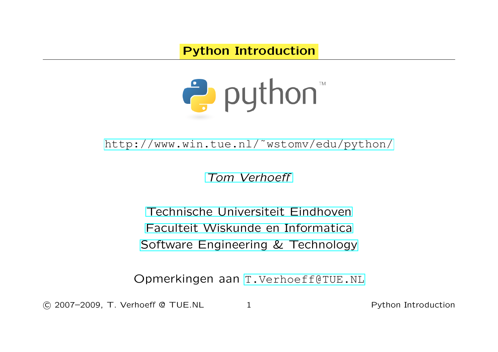Python Introduction



[http://www.win.tue.nl/˜wstomv/edu/python/](http://www.win.tue.nl/~wstomv/edu/python/)

[Tom Verhoeff](http://www.win.tue.nl/~wstomv/)

[Technische Universiteit Eindhoven](http://www.tue.nl/) [Faculteit Wiskunde en Informatica](http://www.win.tue.nl/) [Software Engineering & Technology](http://www.win.tue.nl/set/)

Opmerkingen aan [T.Verhoeff@TUE.NL](mailto:T.Verhoeff@TUE.NL)

c 2007–2009, T. Verhoeff @ TUE.NL 1 Python Introduction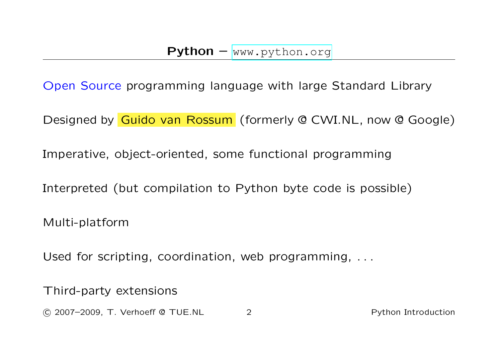Open Source programming language with large Standard Library

Designed by Guido van Rossum (formerly @ CWI.NL, now @ Google)

Imperative, object-oriented, some functional programming

Interpreted (but compilation to Python byte code is possible)

Multi-platform

Used for scripting, coordination, web programming, . . .

Third-party extensions

c 2007–2009, T. Verhoeff @ TUE.NL 2 Python Introduction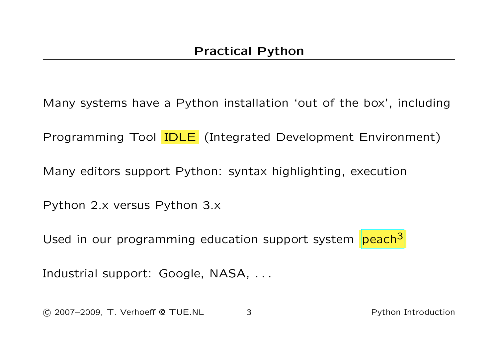Many systems have a Python installation 'out of the box', including

Programming Tool IDLE (Integrated Development Environment)

Many editors support Python: syntax highlighting, execution

Python 2.x versus Python 3.x

Used in our programming education support system [peach](http://peach3.nl/)<sup>3</sup>

Industrial support: Google, NASA, ...

c 2007–2009, T. Verhoeff @ TUE.NL 3 Python Introduction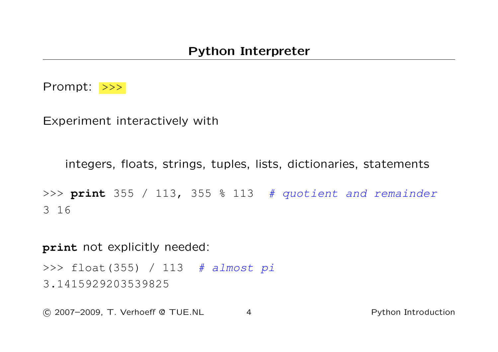

Experiment interactively with

```
integers, floats, strings, tuples, lists, dictionaries, statements
```

```
>>> print 355 / 113, 355 % 113 # quotient and remainder
3 16
```
**print** not explicitly needed:

>>> float(355) / 113 # almost pi 3.1415929203539825

c 2007–2009, T. Verhoeff @ TUE.NL 4 Python Introduction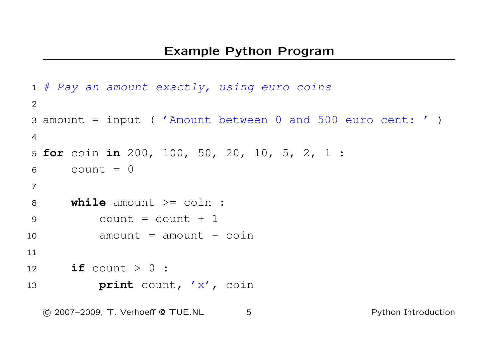```
1 # Pay an amount exactly, using euro coins
\mathcal{P}3 amount = input ( 'Amount between 0 and 500 euro cent: ' )
4
5 for coin in 200, 100, 50, 20, 10, 5, 2, 1 :
6 count = 07
8 while amount \geq coin :
9 count = count + 1
10 amount = amount - coin
11
12 if count > 0 :
13 print count, 'x', coin
```
c 2007–2009, T. Verhoeff @ TUE.NL 5 Python Introduction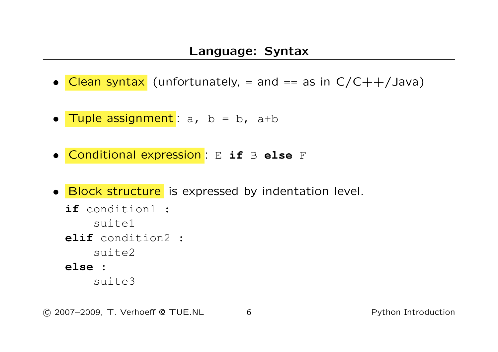- Clean syntax (unfortunately,  $=$  and  $==$  as in  $C/C++/Java$ )
- Tuple assignment :  $a, b = b, a+b$
- Conditional expression : E **if** B **else** F
- Block structure is expressed by indentation level.
	- **if** condition1 : suite1 **elif** condition2 : suite2 **else** : suite3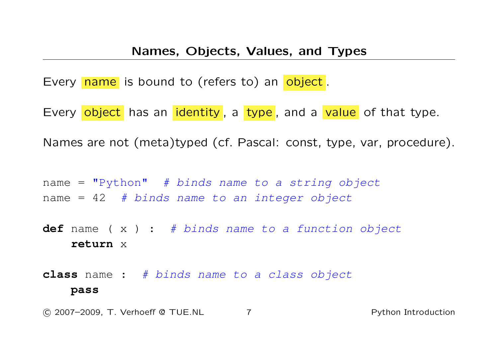Every name is bound to (refers to) an object.

Every object has an identity, a type, and a value of that type.

Names are not (meta)typed (cf. Pascal: const, type, var, procedure).

name =  $"Python"$  # binds name to a string object name =  $42$  # binds name to an integer object

**def** name ( x ) : # binds name to a function object **return** x

**class** name : # binds name to a class object **pass**

c 2007–2009, T. Verhoeff @ TUE.NL 7 Python Introduction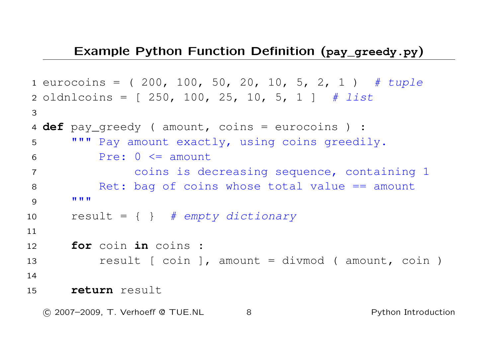## Example Python Function Definition (**pay\_greedy.py**)

```
1 eurocoins = (200, 100, 50, 20, 10, 5, 2, 1) # tuple
2 oldnlcoins = [250, 100, 25, 10, 5, 1] # list
3
4 def pay_greedy ( amount, coins = eurocoins ) :
5 """ Pay amount exactly, using coins greedily.
6 Pre: 0 \leq amount
7 coins is decreasing sequence, containing 1
8 Ret: bag of coins whose total value == amount
9 """"
10 result = \{ \} # empty dictionary
11
12 for coin in coins :
13 result [ coin ], amount = divmod ( amount, coin )
14
15 return result
```
c 2007–2009, T. Verhoeff @ TUE.NL 8 Python Introduction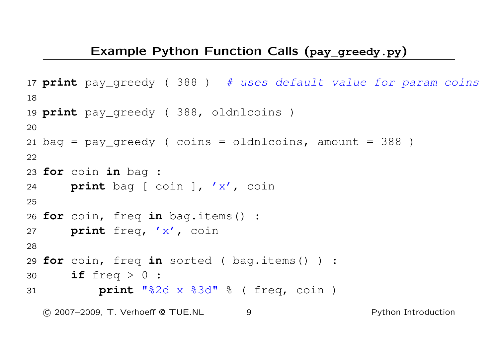## Example Python Function Calls (**pay\_greedy.py**)

```
17 print pay_greedy ( 388 ) # uses default value for param coins
18
19 print pay_greedy ( 388, oldnlcoins )
20
21 bag = pay\_greedy ( coins = oldnlocins, amount = 388 )
22
23 for coin in bag :
24 print bag [ coin ], 'x', coin
25
26 for coin, freq in bag.items() :
27 print freq, 'x', coin
28
29 for coin, freq in sorted ( bag.items() ) :
30 if freq > 0 :
31 print "%2d x %3d" % ( freq, coin )
  C 2007–2009, T. Verhoeff @ TUE.NL 9
```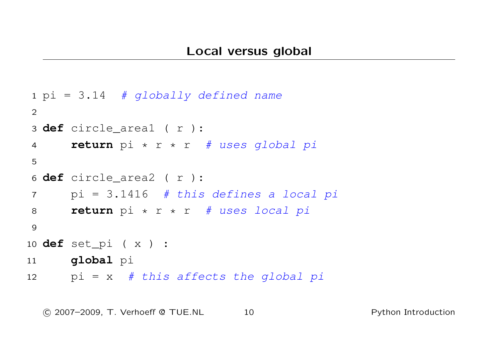```
1 pi = 3.14 # globally defined name
2
3 def circle_area1 ( r ):
4 return pi * r * r # uses global pi
5
6 def circle_area2 ( r ):
7 pi = 3.1416 # this defines a local pi
8 return pi * r * r # uses local pi
9
10 def set_pi ( x ) :
11 global pi
12 pi = x # this affects the global pi
```
c 2007–2009, T. Verhoeff @ TUE.NL 10 Python Introduction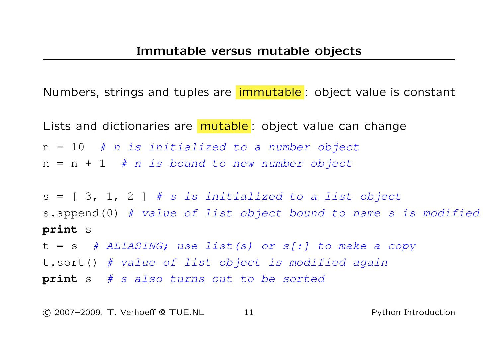Numbers, strings and tuples are immutable : object value is constant

Lists and dictionaries are **mutable**: object value can change  $n = 10$  # n is initialized to a number object  $n = n + 1$  # n is bound to new number object

 $s = \lceil 3, 1, 2 \rceil$  # s is initialized to a list object s.append(0) # value of list object bound to name s is modified **print** s  $t = s$  # ALIASING; use list(s) or s[:] to make a copy t.sort() # value of list object is modified again

**print** s # s also turns out to be sorted

c 2007–2009, T. Verhoeff @ TUE.NL 11 Python Introduction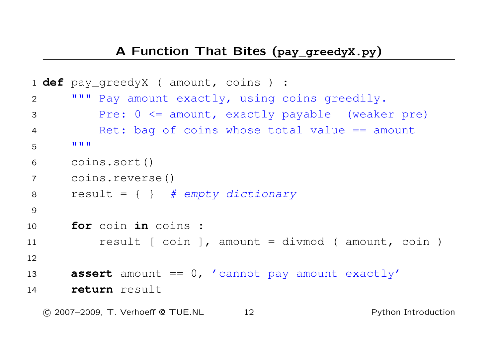```
1 def pay_greedyX ( amount, coins ) :
2 """ Pay amount exactly, using coins greedily.
3 Pre: 0 <= amount, exactly payable (weaker pre)
4 Ret: bag of coins whose total value == amount
5 """
6 coins.sort()
7 coins.reverse()
8 result = \{ \} # empty dictionary
9
10 for coin in coins :
11 result [ coin ], amount = divmod ( amount, coin )
12
13 assert amount == 0, 'cannot pay amount exactly'
14 return result
```
c 2007–2009, T. Verhoeff @ TUE.NL 12 Python Introduction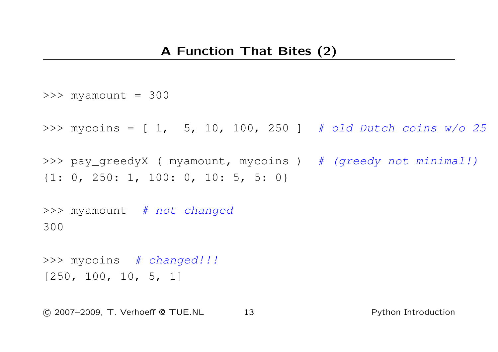```
\gg myamount = 300
>>> mycoins = [1, 5, 10, 100, 250] # old Dutch coins w/o 25
>>> pay_greedyX ( myamount, mycoins ) # (greedy not minimal!)
{1: 0, 250: 1, 100: 0, 10: 5, 5: 0}
>>> myamount # not changed
300
>>> mycoins # changed!!!
```

```
[250, 100, 10, 5, 1]
```
c 2007–2009, T. Verhoeff @ TUE.NL 13 Python Introduction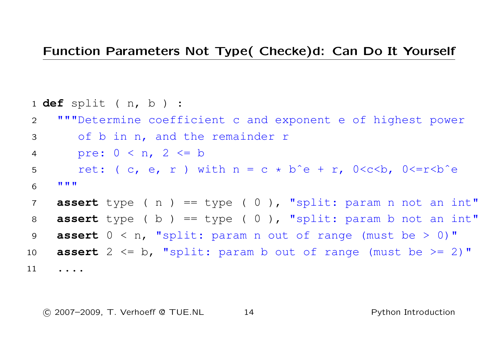## Function Parameters Not Type( Checke)d: Can Do It Yourself

 **def** split ( n, b ) : """Determine coefficient c and exponent e of highest power of b in n, and the remainder r pre: 0 < n, 2 <= b ret: ( c, e, r ) with n = c \* bˆe + r, 0<c<b, 0<=r<bˆe """ **assert** type ( n ) == type ( 0 ), "split: param n not an int" **assert** type ( b ) == type ( 0 ), "split: param b not an int" **assert** 0 < n, "split: param n out of range (must be > 0)" **assert** 2 <= b, "split: param b out of range (must be >= 2)" ....

c 2007–2009, T. Verhoeff @ TUE.NL 14 Python Introduction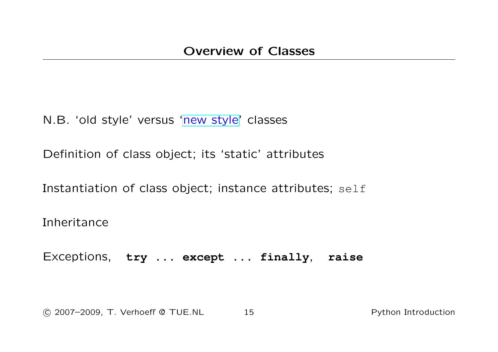N.B. 'old style' versus ['new style'](http://www.python.org/doc/newstyle) classes

Definition of class object; its 'static' attributes

Instantiation of class object; instance attributes; self

Inheritance

Exceptions, **try** ... **except** ... **finally**, **raise**

c 2007–2009, T. Verhoeff @ TUE.NL 15 Python Introduction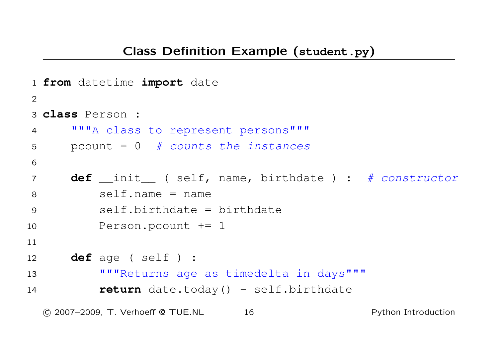```
1 from datetime import date
2
3 class Person :
4 """A class to represent persons"""
5 b pcount = 0 # counts the instances
6
7 def __init__ ( self, name, birthdate ) : # constructor
8 self.name = name
9 self.birthdate = birthdate
10 Person.pcount += 1
11
12 def age ( self ) :
13 """Returns age as timedelta in days"""
14 return date.today() - self.birthdate

c 2007–2009, T. Verhoeff @ TUE.NL 16 Python Introduction
```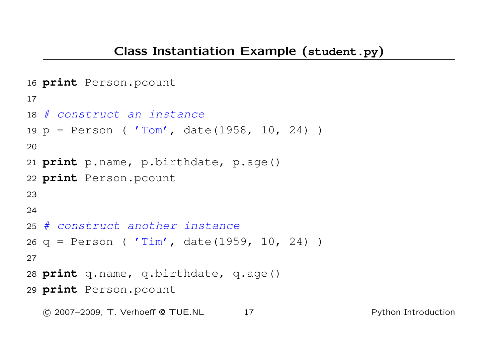```
16 print Person.pcount
17
18 # construct an instance
19 p = Person ( 'Tom', date(1958, 10, 24) )
20
21 print p.name, p.birthdate, p.age()
22 print Person.pcount
23
24
25 # construct another instance
26 q = Person ( 'Tim', date(1959, 10, 24) )
27
28 print q.name, q.birthdate, q.age()
29 print Person.pcount
```
c 2007–2009, T. Verhoeff @ TUE.NL 17 Python Introduction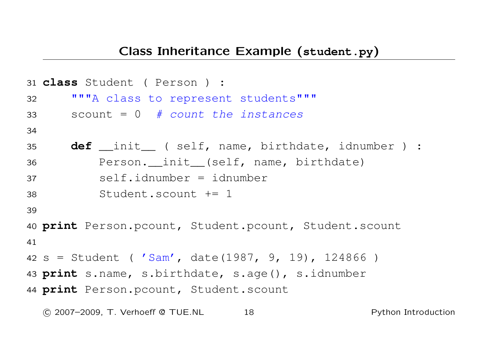```
31 class Student ( Person ) :
32 """A class to represent students"""
33 scount = 0 # count the instances
34
35 def __init__ ( self, name, birthdate, idnumber ) :
36 Person. init (self, name, birthdate)
37 self.idnumber = idnumber
38 Student.scount += 1
39
40 print Person.pcount, Student.pcount, Student.scount
41
42 s = Student ( 'Sam', date(1987, 9, 19), 124866 )
43 print s.name, s.birthdate, s.age(), s.idnumber
44 print Person.pcount, Student.scount

c 2007–2009, T. Verhoeff @ TUE.NL 18 Python Introduction
```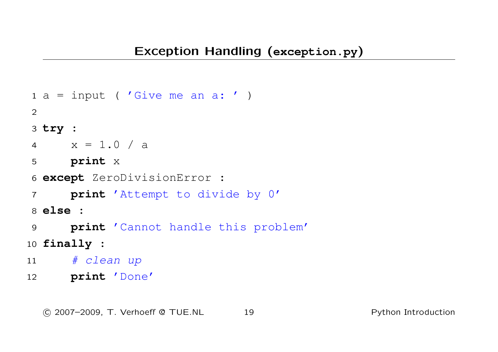```
1 a = input ( 'Give me an a: ' )
2
3 try :
4 x = 1.0 / a5 print x
6 except ZeroDivisionError :
7 print 'Attempt to divide by 0'
8 else :
9 print 'Cannot handle this problem'
10 finally :
11 # clean up
12 print 'Done'
```
c 2007–2009, T. Verhoeff @ TUE.NL 19 Python Introduction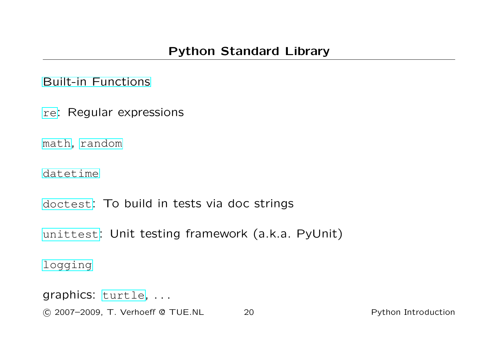[Built-in Functions](http://docs.python.org/lib/built-in-funcs.html)

[re](http://docs.python.org/lib/module-re.html): Regular expressions

[math](http://docs.python.org/lib/module-math.html), [random](http://docs.python.org/lib/module-random.html)

[datetime](http://docs.python.org/lib/module-datetime.html)

[doctest](http://docs.python.org/lib/module-doctest.html): To build in tests via doc strings

[unittest](http://docs.python.org/lib/module-unittest.html): Unit testing framework (a.k.a. PyUnit)

[logging](http://docs.python.org/lib/module-logging.html)

graphics: [turtle](http://docs.python.org/lib/module-turtle.html), . . .

c 2007–2009, T. Verhoeff @ TUE.NL 20 Python Introduction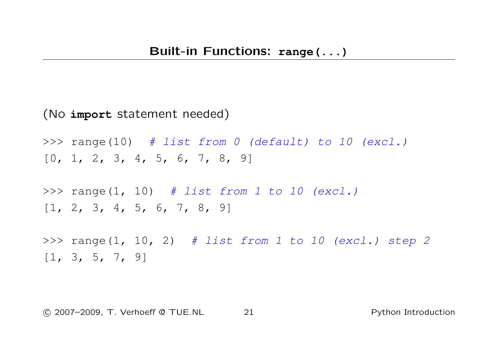## (No **import** statement needed)

>>> range(10) # list from 0 (default) to 10 (excl.)  $[0, 1, 2, 3, 4, 5, 6, 7, 8, 9]$ 

>>> range(1, 10)  $#$  list from 1 to 10 (excl.)  $[1, 2, 3, 4, 5, 6, 7, 8, 9]$ 

>>> range(1, 10, 2) # list from 1 to 10 (excl.) step 2  $[1, 3, 5, 7, 9]$ 

c 2007–2009, T. Verhoeff @ TUE.NL 21 Python Introduction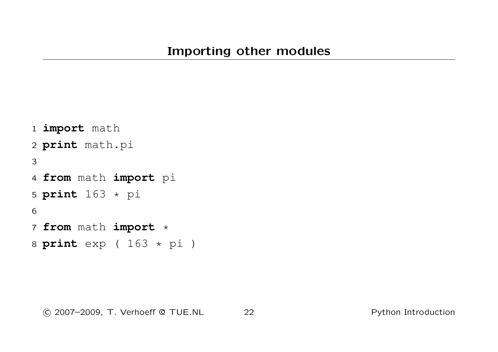```
1 import math
2 print math.pi
3
4 from math import pi
5 print 163 * pi
6
7 from math import *
8 print exp ( 163 * pi )
```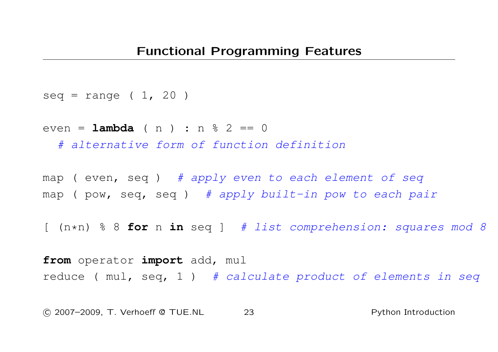```
seq = range (1, 20)
```
even = **lambda** ( n ) : n % 2 == 0

# alternative form of function definition

map (  $even$ ,  $seq$  ) #  $apply$  even to each element of seq map (  $pow$ ,  $seq$ ,  $seq$  ) # apply built-in pow to each pair

[ (n\*n) % 8 **for** n **in** seq ] # list comprehension: squares mod 8

**from** operator **import** add, mul reduce (  $mu$ , seq, 1 ) # calculate product of elements in seq

c 2007–2009, T. Verhoeff @ TUE.NL 23 Python Introduction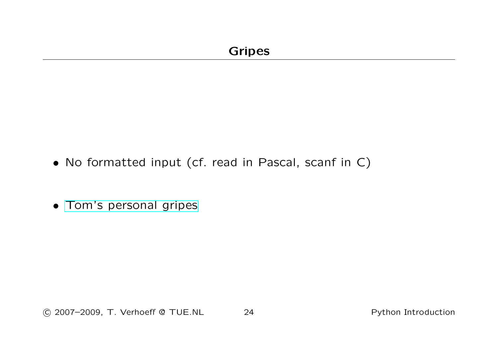- No formatted input (cf. read in Pascal, scanf in C)
- [Tom's personal gripes](http://www.win.tue.nl/~wstomv/edu/python/python-observations.html)